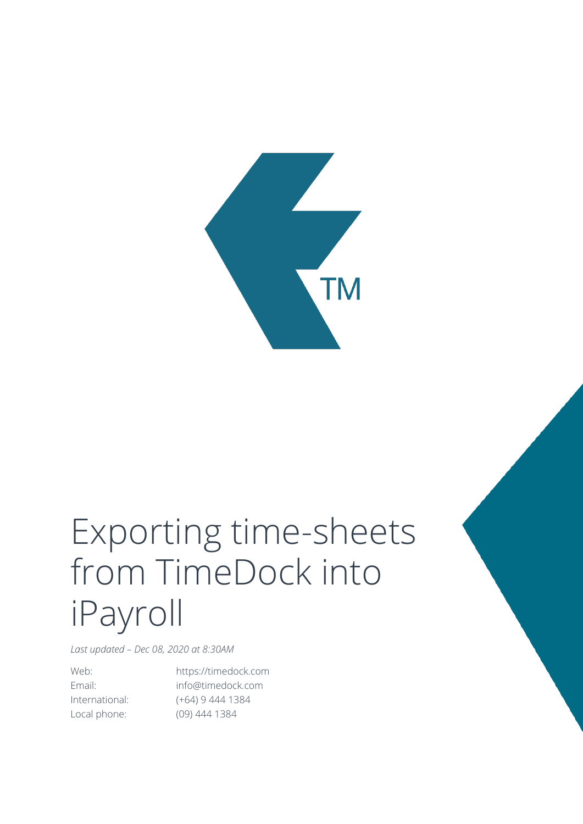

## Exporting time-sheets from TimeDock into iPayroll

*Last updated – Dec 08, 2020 at 8:30AM*

Web: https://timedock.com Email: info@timedock.com International: (+64) 9 444 1384 Local phone: (09) 444 1384